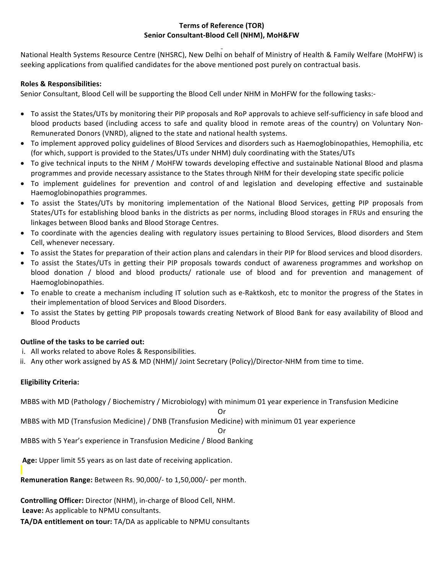# **Terms of Reference (TOR) Senior Consultant-Blood Cell (NHM), MoH&FW**

National Health Systems Resource Centre (NHSRC), New Delhi on behalf of Ministry of Health & Family Welfare (MoHFW) is seeking applications from qualified candidates for the above mentioned post purely on contractual basis.

# **Roles & Responsibilities:**

Senior Consultant, Blood Cell will be supporting the Blood Cell under NHM in MoHFW for the following tasks:-

- To assist the States/UTs by monitoring their PIP proposals and RoP approvals to achieve self-sufficiency in safe blood and blood products based (including access to safe and quality blood in remote areas of the country) on Voluntary Non-Remunerated Donors (VNRD), aligned to the state and national health systems.
- To implement approved policy guidelines of Blood Services and disorders such as Haemoglobinopathies, Hemophilia, etc (for which, support is provided to the States/UTs under NHM) duly coordinating with the States/UTs
- To give technical inputs to the NHM / MoHFW towards developing effective and sustainable National Blood and plasma programmes and provide necessary assistance to the States through NHM for their developing state specific policie
- To implement guidelines for prevention and control of and legislation and developing effective and sustainable Haemoglobinopathies programmes.
- To assist the States/UTs by monitoring implementation of the National Blood Services, getting PIP proposals from States/UTs for establishing blood banks in the districts as per norms, including Blood storages in FRUs and ensuring the linkages between Blood banks and Blood Storage Centres.
- To coordinate with the agencies dealing with regulatory issues pertaining to Blood Services, Blood disorders and Stem Cell, whenever necessary.
- To assist the States for preparation of their action plans and calendars in their PIP for Blood services and blood disorders.
- To assist the States/UTs in getting their PIP proposals towards conduct of awareness programmes and workshop on blood donation / blood and blood products/ rationale use of blood and for prevention and management of Haemoglobinopathies.
- To enable to create a mechanism including IT solution such as e-Raktkosh, etc to monitor the progress of the States in their implementation of blood Services and Blood Disorders.
- To assist the States by getting PIP proposals towards creating Network of Blood Bank for easy availability of Blood and Blood Products

# **Outline of the tasks to be carried out:**

- i. All works related to above Roles & Responsibilities.
- ii. Any other work assigned by AS & MD (NHM)/ Joint Secretary (Policy)/Director-NHM from time to time.

# **Eligibility Criteria:**

MBBS with MD (Pathology / Biochemistry / Microbiology) with minimum 01 year experience in Transfusion Medicine

## Or

MBBS with MD (Transfusion Medicine) / DNB (Transfusion Medicine) with minimum 01 year experience

## Or

MBBS with 5 Year's experience in Transfusion Medicine / Blood Banking

Age: Upper limit 55 years as on last date of receiving application.

**Remuneration Range:** Between Rs. 90,000/- to 1,50,000/- per month.

**Controlling Officer:** Director (NHM), in-charge of Blood Cell, NHM.

Leave: As applicable to NPMU consultants.

**TA/DA entitlement on tour:** TA/DA as applicable to NPMU consultants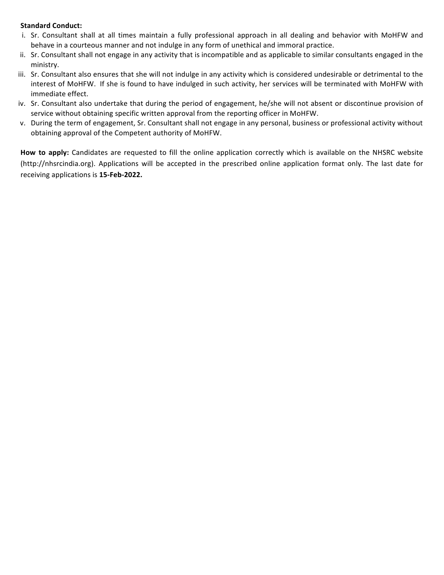# **Standard Conduct:**

- i. Sr. Consultant shall at all times maintain a fully professional approach in all dealing and behavior with MoHFW and behave in a courteous manner and not indulge in any form of unethical and immoral practice.
- ii. Sr. Consultant shall not engage in any activity that is incompatible and as applicable to similar consultants engaged in the ministry.
- iii. Sr. Consultant also ensures that she will not indulge in any activity which is considered undesirable or detrimental to the interest of MoHFW. If she is found to have indulged in such activity, her services will be terminated with MoHFW with immediate effect.
- iv. Sr. Consultant also undertake that during the period of engagement, he/she will not absent or discontinue provision of service without obtaining specific written approval from the reporting officer in MoHFW.
- v. During the term of engagement, Sr. Consultant shall not engage in any personal, business or professional activity without obtaining approval of the Competent authority of MoHFW.

How to apply: Candidates are requested to fill the online application correctly which is available on the NHSRC website (http://nhsrcindia.org). Applications will be accepted in the prescribed online application format only. The last date for receiving applications is **15-Feb-2022.**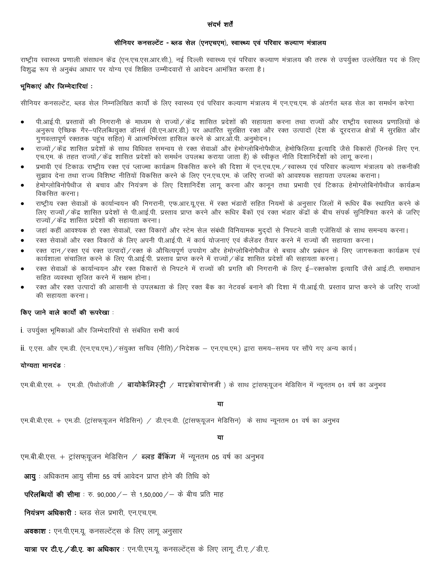#### संदर्भ शर्तें

#### सीनियर कनसल्टेंट - ब्लड सेल (एनएचएम), स्वास्थ्य एवं परिवार कल्याण मंत्रालय

राष्ट्रीय स्वास्थ्य प्रणाली संसाधन केंद्र (एन.एच.एस.आर.सी.), नई दिल्ली स्वास्थ्य एवं परिवार कल्याण मंत्रालय की तरफ से उपर्युक्त उल्लेखित पद के लिए विशद्ध रूप से अनबंध आधार पर योग्य एवं शिक्षित उम्मीदवारों से आवेदन आमंत्रित करता है।

## भमिकाएं और जिम्मेदारियां :

सीनियर कनसल्टेंट, ब्लड सेल निम्नलिखित कार्यों के लिए स्वास्थ्य एवं परिवार कल्याण मंत्रालय में एन.एच.एम. के अंतर्गत ब्लड सेल का समर्थन करेगा

- पी.आई.पी. प्रस्तावों की निगरानी के माध्यम से राज्यों / केंद्र शासित प्रदेशों की सहायता करना तथा राज्यों और राष्ट्रीय स्वास्थ्य प्रणालियों के .<br>अनरूप ऐच्छिक गैर–परिलब्धियुक्त डॉनर्स (वी.एन.आर.डी.) पर अधारित सुरक्षित रक्त और रक्त उत्पादों (देश के दूरदराज क्षेत्रों में सुरक्षित और गुणवत्तापूर्ण रक्ततक पहुंच सहित) में आत्मनिर्भरता हासिल करने के आर.ओ.पी. अनुमोदन।
- राज्यों / केंद्र शासित प्रदेशों के साथ विधिवत समन्वय से रक्त सेवाओं और हेमोग्लोबिनोपैथीज, हेमोफिलिया इत्यादि जैसे विकारों (जिनके लिए एन. एच.एम. के तहत राज्यों / केंद्र शासित प्रदेशों को समर्थन उपलब्ध कराया जाता है) के स्वीकृत नीति दिशानिर्देशों को लागू करना।
- प्रभावी एवं टिकाऊ राष्ट्रीय रक्त एवं प्लाज्मा कार्यक्रम विकसित करने की दिशा में एन.एच.एम. / स्वास्थ्य एवं परिवार कल्याण मंत्रालय को तकनीकी सुझाव देना तथा राज्य विशिष्ट नीतियों विकसित करने के लिए एन.एच.एम. के जरिए राज्यों को आवश्यक सहायता उपलब्ध कराना।
- हेमोग्लोबिनोपैथीज से बचाव और नियंत्रण के लिए दिशानिर्देश लागू करना और कानून तथा प्रभावी एवं टिकाऊ हेमोग्लोबिनोपैथीज कार्यक्रम विकसित करना।
- राष्ट्रीय रक्त सेवाओं के कार्यान्वयन की निगरानी, एफ.आर.यू.एस. में रक्त भंडारों सहित नियमों के अनुसार जिलों में रूधिर बैंक स्थापित करने के लिए राज्यों / केंद्र शासित प्रदेशों से पी.आई.पी. प्रस्ताव प्राप्त करने और रूधिर बैंकों एवं रक्त भंडार केंद्रों के बीच संपर्क सुनिश्चित करने के जरिए राज्यों / केंद्र शासित प्रदेशों की सहायता करना।
- जहां कहीं आवश्यक हो रक्त सेवाओं, रक्त विकारों और स्टेम सेल संबंधी विनियामक मुद्दों से निपटने वाली एजेंसियों के साथ समन्वय करना।
- रक्त सेवाओं और रक्त विकारों के लिए अपनी पी.आई.पी. में कार्य योजनाएं एवं कैलेंडर तैयार करने में राज्यों की सहायता करना।
- रक्त दान/रक्त एवं रक्त उत्पादों/रक्त के औचित्यपूर्ण उपयोग और हेमोग्लोबिनोपैथीज से बचाव और प्रबंधन के लिए जागरूकता कार्यक्रम एवं कार्यशाला संचालित करने के लिए पी.आई.पी. प्रस्ताव प्राप्त करने में राज्यों / केंद्र शासित प्रदेशों की सहायता करना।
- रक्त सेवाओं के कार्यान्वयन और रक्त विकारों से निपटने में राज्यों की प्रगति की निगरानी के लिए ई—रक्तकोश इत्यादि जैसे आई.टी. समाधान सहित व्यवस्था सृजित करने में सक्षम होना।
- रक्त और रक्त उत्पादों की आसानी से उपलब्धता के लिए रक्त बैंक का नेटवर्क बनाने की दिशा में पी.आई.पी. प्रस्ताव प्राप्त करने के जरिए राज्यों की सहायता करना।

## किए जाने वाले कार्यों की रूपरेखा :

i. उपर्युक्त भूमिकाओं और जिम्मेदारियों से संबंधित सभी कार्य

ii. ए.एस. और एम.डी. (एन.एच.एम.) / संयुक्त सचिव (नीति) / निदेशक – एन.एच.एम.) द्वारा समय–समय पर सौंपे गए अन्य कार्य।

### योग्यता मानदंड :

एम.बी.बी.एस. + एम.डी. (पैथोलॉजी / **बायोकेमिस्ट्री** / माइक्रोबायोलजी ) के साथ ट्रांसफयूजन मेडिसिन में न्यूनतम 01 वर्ष का अनुभव

या

एम.बी.बी.एस. + एम.डी. (ट्रांसफयूजन मेडिसिन) / डी.एन.वी. (ट्रांसफयूजन मेडिसिन) के साथ न्यूनतम 01 वर्ष का अनुभव

या

एम.बी.बी.एस. + ट्रांसफयूजन मेडिसिन / **ब्लड बैंकिंग** में न्यूनतम 05 वर्ष का अनुभव

आयु : अधिकतम आयु सीमा 55 वर्ष आवेदन प्राप्त होने की तिथि को

परिलब्धियों की सीमा: रु. 90,000 / – से 1,50,000 / – के बीच प्रति माह

नियंत्रण अधिकारी : ब्लड सेल प्रभारी, एन.एच.एम.

अवकाश : एन.पी.एम.यू. कनसल्टेंट्स के लिए लागू अनुसार

यात्रा पर टी.ए. / डी.ए. का अधिकार : एन.पी.एम.यू. कनसल्टेंट्स के लिए लागू टी.ए. / डी.ए.